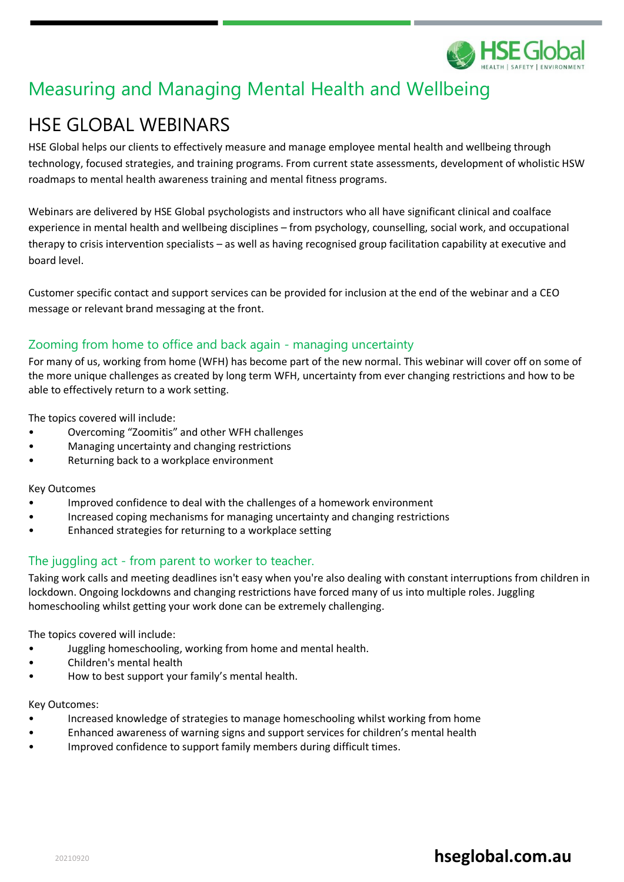

# Measuring and Managing Mental Health and Wellbeing

# HSE GLOBAL WEBINARS

HSE Global helps our clients to effectively measure and manage employee mental health and wellbeing through technology, focused strategies, and training programs. From current state assessments, development of wholistic HSW roadmaps to mental health awareness training and mental fitness programs.

Webinars are delivered by HSE Global psychologists and instructors who all have significant clinical and coalface experience in mental health and wellbeing disciplines – from psychology, counselling, social work, and occupational therapy to crisis intervention specialists – as well as having recognised group facilitation capability at executive and board level.

Customer specific contact and support services can be provided for inclusion at the end of the webinar and a CEO message or relevant brand messaging at the front.

### Zooming from home to office and back again - managing uncertainty

For many of us, working from home (WFH) has become part of the new normal. This webinar will cover off on some of the more unique challenges as created by long term WFH, uncertainty from ever changing restrictions and how to be able to effectively return to a work setting.

The topics covered will include:

- Overcoming "Zoomitis" and other WFH challenges
- Managing uncertainty and changing restrictions
- Returning back to a workplace environment

#### Key Outcomes

- Improved confidence to deal with the challenges of a homework environment
- Increased coping mechanisms for managing uncertainty and changing restrictions
- Enhanced strategies for returning to a workplace setting

### The juggling act - from parent to worker to teacher.

Taking work calls and meeting deadlines isn't easy when you're also dealing with constant interruptions from children in lockdown. Ongoing lockdowns and changing restrictions have forced many of us into multiple roles. Juggling homeschooling whilst getting your work done can be extremely challenging.

The topics covered will include:

- Juggling homeschooling, working from home and mental health.
- Children's mental health
- How to best support your family's mental health.

#### Key Outcomes:

- Increased knowledge of strategies to manage homeschooling whilst working from home
- Enhanced awareness of warning signs and support services for children's mental health
- Improved confidence to support family members during difficult times.